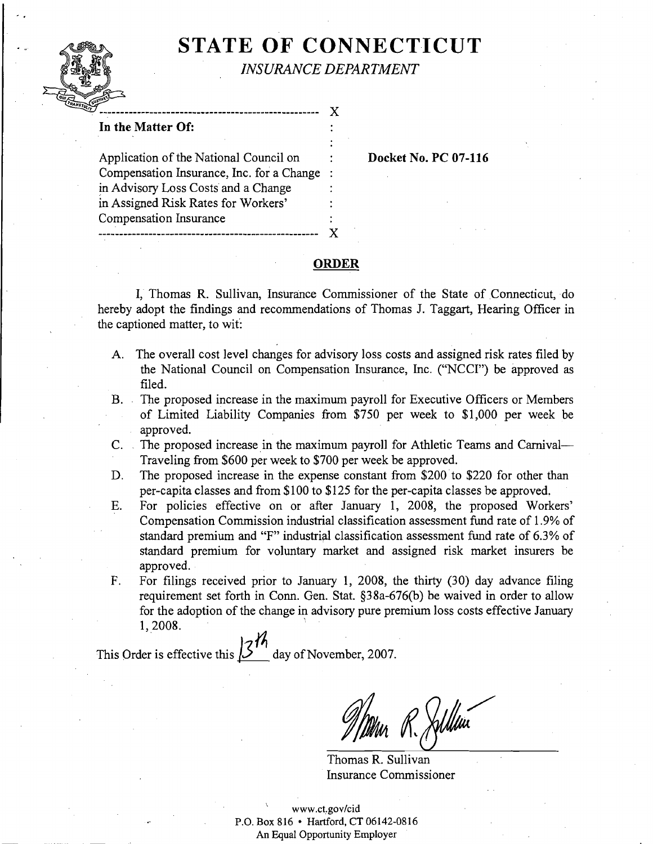# . **I STATE OF CONNECTICUT**  *INSURANCE DEPARTMENT*



# $\bf{X}$ **In the Matter Of:**  Application of the National Council on : **Docket No. PC 07-116**  Compensation Insurance, Inc. for a Change : in Advisory Loss Costs and a Change in Assigned Risk Rates for Workers' Compensation Insurance .................................................... X

#### **ORDER**

I, Thomas R. Sullivan, Insurance Commissioner of the State of Connecticut, do hereby adopt the findings and recommendations of Thomas J. Taggart, Hearing Officer in the captioned matter, to wit:

- A. The overall cost level changes for advisory loss costs and assigned risk rates filed by the National Council on Compensation Insurance, Inc. ("NCCI") be approved as filed.
- B. The proposed increase in the maximum payroll for Executive Officers or Members of Limited Liability Companies from \$750 per week to \$1,000 per week be approved.
- C. The proposed increase in the maximum payroll for Athletic Teams and Carnival-Traveling from \$600 per week to \$700 per week be approved.
- D. The proposed increase in the expense constant from \$200 to \$220 for other than per-capita classes and from \$100 to \$1 25 for the per-capita classes be approved.
- E. For policies effective on or after January 1, 2008, the proposed Workers' Compensation Commission industrial classification assessment fund rate of 1.9% of standard premium and "F" industrial classification assessment fund rate of 6.3% of standard premium for voluntary market and assigned risk market insurers be approved.
- F. For filings received prior to January 1, 2008, the thirty (30) day advance filing requirement set forth in Conn. Gen. Stat. §38a-676(b) be waived in order to allow for the adoption of the change in advisory pure premium loss costs effective January 1,2008.

This Order is effective this  $\frac{3\%}{1.5}$  day of November, 2007.

R. Jillin

Thomas R. Sullivan Insurance Commissioner

\ www.ct.gov/cid P.O. Box 816 • Hartford, CT 06142-0816 An Equal Opportunity Employer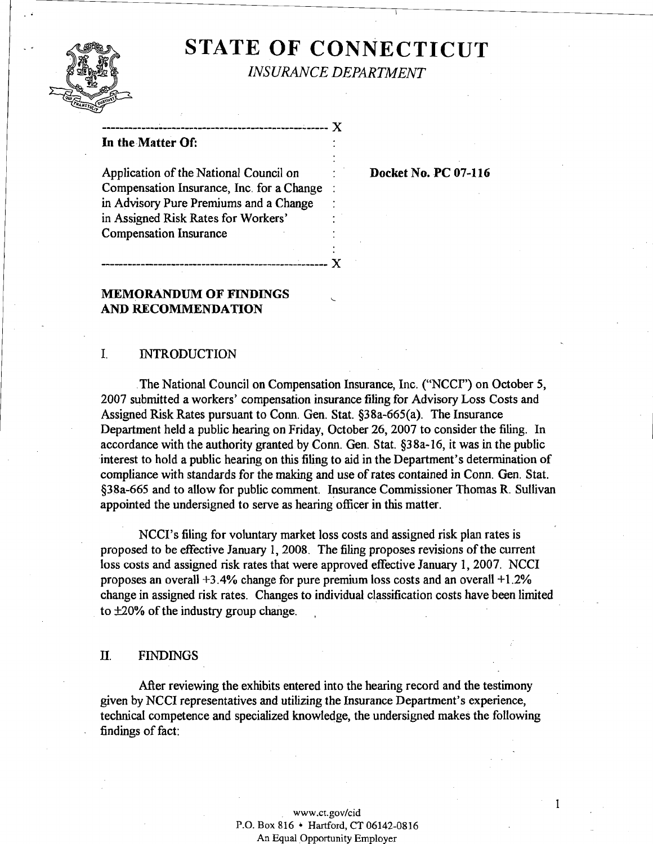# **STATE OF CONNECTICUT**



*INSURANCE DEPARTMENT* 

----------------------------------------------------**X** 

#### **In the-MatterOf:**

Application of the National Council on **Docket No. PC 07-116** Compensation Insurance, Inc. for a Change : in Advisory Pure Premiums and a Change in Assigned Risk Rates for Workers' Compensation Insurance

## **MEMORANDUM OF FINDINGS** < **AND RECOMMENDATION**

#### I. INTRODUCTION

The National Council on Compensation Insurance, Inc. ("NCCI") on October 5, 2007 submitted a workers' compensation insurance filing for Advisory Loss Costs and Assigned Risk Rates pursuant to Conn. Gen. Stat. §38a-665(a). The Insurance Department held a public hearing on Friday, October 26, 2007 to consider the filing. In accordance with the authority granted by Conn. Gen. Stat.  $\S$ 38a-16, it was in the public interest to hold a public hearing on this filing to aid in the Department's determination of compliance with standards for the making and use of rates contained in Conn. Gen. Stat. 538a-665 and to allow for public comment. Insurance Commissioner Thomas R. Sullivan appointed the undersigned to serve as hearing officer in this matter.

NCCIYs filing for voluntary market loss costs and assigned risk plan rates is proposed to be effective January 1,2008. The filing proposes revisions of the current loss costs and assigned risk rates that were approved effective January 1,2007. NCCI proposes an overall **+3.4%** change for pure premium loss costs and an overall +1.2% change in assigned risk rates. Changes to individual classification costs have been limited to  $\pm 20\%$  of the industry group change.

## . **FINDINGS**

After reviewing the exhibits entered into the hearing record and the testimony given by NCCI representatives and utilizing the Insurance Department's experience, technical competence and specialized knowledge, the undersigned makes the following findings of fact:

#### www.ct.gov/cid P.O. Box 816 \* Hartford, CT 06142-0816 An Equal Opportunity Employer

 $\mathbf{I}$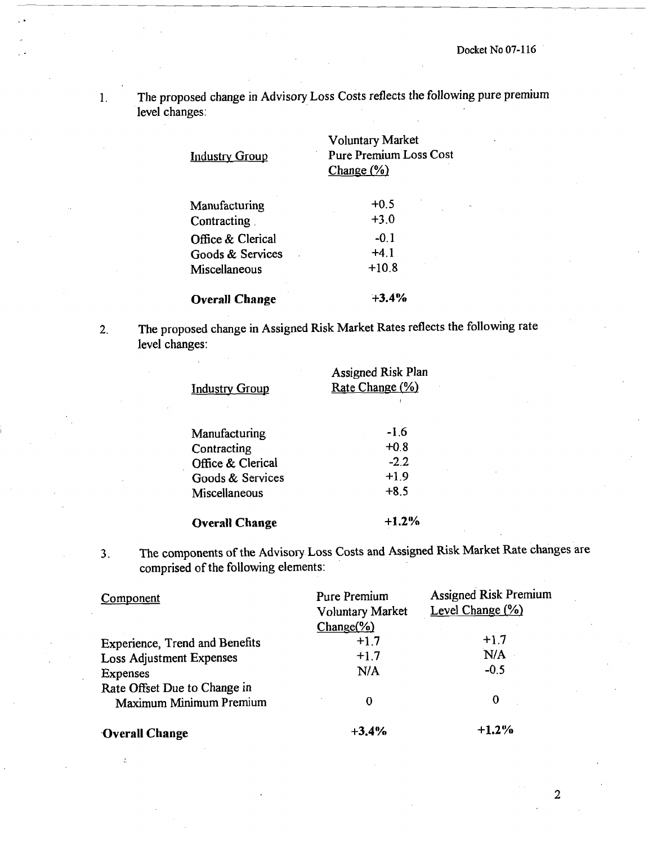1. The proposed change in Advisory Loss Costs reflects the following pure premium level changes:

| <u>Industry Group</u> | <b>Voluntary Market</b><br><b>Pure Premium Loss Cost</b><br>Change $(\%)$ |  |
|-----------------------|---------------------------------------------------------------------------|--|
| Manufacturing         | $+0.5$                                                                    |  |
| Contracting           | $+3.0$                                                                    |  |
| Office & Clerical     | $-0.1$                                                                    |  |
| Goods & Services      | $+4.1$                                                                    |  |
| Miscellaneous         | $+10.8$                                                                   |  |
| <b>Overall Change</b> | $+3.4%$                                                                   |  |

**2.** The proposed change in Assigned Risk Market Rates reflects the following rate level changes:

| <b>Industry Group</b> | <b>Assigned Risk Plan</b><br>Rate Change (%) |  |
|-----------------------|----------------------------------------------|--|
| Manufacturing         | $-1.6$                                       |  |
|                       | $+0.8$                                       |  |
| Contracting           |                                              |  |
| Office & Clerical     | $-2.2$                                       |  |
| Goods & Services      | $+1.9$                                       |  |
| Miscellaneous         | $+8.5$                                       |  |
| <b>Overall Change</b> | $+1.2\%$                                     |  |

**3.** The components of the Advisory Loss Costs and Assigned **Risk** Market Rate changes are comprised of the following elements:

| Component                             | Pure Premium<br><b>Voluntary Market</b><br>Change( <sub>0</sub> ) | <b>Assigned Risk Premium</b><br>Level Change (%) |
|---------------------------------------|-------------------------------------------------------------------|--------------------------------------------------|
| <b>Experience, Trend and Benefits</b> | $+1.7$                                                            | $+1.7$                                           |
| <b>Loss Adjustment Expenses</b>       | $+1.7$                                                            | N/A                                              |
| Expenses                              | N/A                                                               | $-0.5$                                           |
| Rate Offset Due to Change in          |                                                                   |                                                  |
| Maximum Minimum Premium               | 0                                                                 | 0                                                |
| Overall Change                        | $+3.4%$                                                           | $+1.2%$                                          |

 $\overline{2}$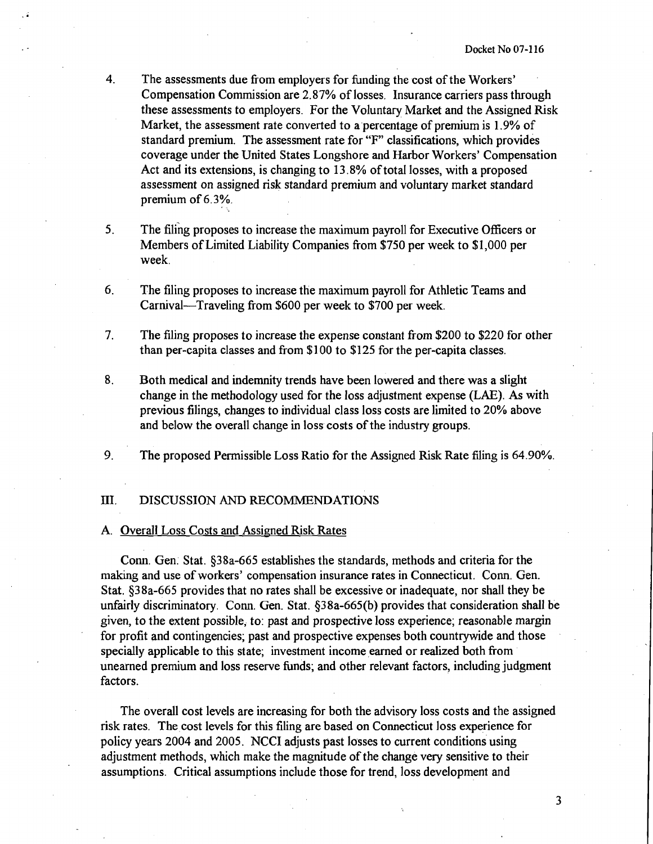- **4.** The assessments due fiom employers for funding the cost of the Workers' Compensation Commission are 2.87% of losses. Insurance carriers pass through these assessments to employers. For the Voluntary Market and the Assigned Risk Market, the assessment rate converted to a percentage of premium is 1.9% of standard premium. The assessment rate for "F" classifications, which provides coverage under the United States Longshore and Harbor Workers' Compensation Act and its extensions, is changing to 13.8% of total losses, with a proposed assessment on assigned risk standard premium and voluntary market standard premium of 6.3%.
- **5.** The filing proposes to increase the maximum payroll for Executive Officers or Members of Limited Liability Companies fiom \$750 per week to \$1,000 per week.
- 6. The filing proposes to increase the maximum payroll for Athletic Teams and Carnival-Traveling from \$600 per week to \$700 per week.
- 7. The filing proposes to increase the expense constant from \$200 to \$220 for other than per-capita classes and fiom \$100 to \$125 for the per-capita classes.
- 8. Both medical and indemnity trends have been lowered and there was a slight change in the methodology used for the loss adjustment expense (LAE). As with previous filings, changes to individual class loss costs are limited to 20% above and below the overall change in loss costs of the industry groups.
- **9.** The proposed Permissible Loss Ratio for the Assigned Risk Rate filing is 64.90%.

#### 111. DISCUSSION AND RECOMMENDATIONS

#### A. Overall Loss Costs and Assigned Risk Rates

Conn. Gen. Stat. S38a-665 establishes the standards, methods and criteria for the making and use of workers' compensation insurance rates in Connecticut. Conn. Gen. Stat. S38a-665 provides that no rates shall be excessive or inadequate, nor shall they be unfairly discriminatory. Conn. Gen. Stat. 538a-665(b) provides that consideration shall be given, to the extent possible, to: past and prospective loss experience; reasonable margin for profit and contingencies; past and prospective expenses both countrywide and those specially applicable to this state; investment income earned or realized both from unearned premium and loss reserve funds; and other relevant factors, including judgment factors.

The overall cost levels are increasing for both the advisory loss costs and the assigned risk rates. The cost levels for this filing are based on Connecticut loss experience for policy years 2004 and 2005. NCCI adjusts past losses to current conditions using adjustment methods, which make the magnitude of the change very sensitive to their assumptions. Critical assumptions include those for trend, loss development and

3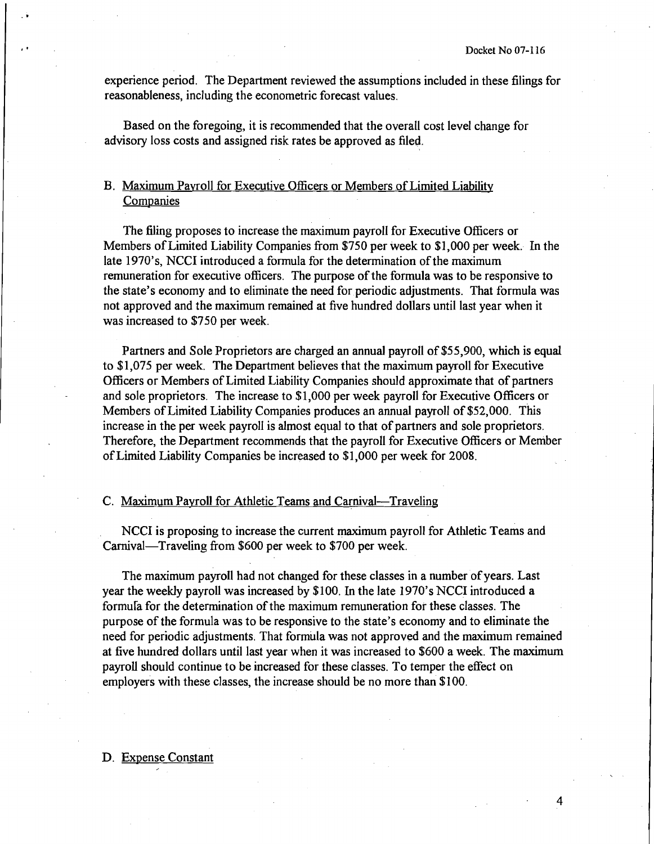experience period. The Department reviewed the assumptions included in these filings for reasonableness, including the econometric forecast values.

Based on the foregoing, it is recommended that the overall cost level change for advisory loss costs and assigned risk rates be approved as filed.

# B. Maximum Pavroll for Executive Officers or Members of Limited Liability **Companies**

The filing proposes to increase the maximum payroll for Executive Officers or Members of Limited Liability Companies from \$750 per week to \$1,000 per week. In the late 1970's, NCCI introduced a formula for the determination of the maximum remuneration for executive officers. The purpose of the formula was to be responsive to the state's economy and to eliminate the need for periodic adjustments. That formula was not approved and the maximum remained at five hundred dollars until last year when it was increased to \$750 per week.

Partners and Sole Proprietors are charged an annual payroll of \$55,900, which is equal to \$1,075 per week. The Department believes that the maximum payroll for Executive Officers or Members of Limited Liability Companies should approximate that of partners and sole proprietors. The increase to \$1,000 per week payroll for Executive Officers or Members of Limited Liability Companies produces an annual payroll of \$52,000. This increase in the per week payroll is almost equal to that of partners and sole proprietors. Therefore, the Department recommends that the payroll for Executive Officers or Member of Limited Liability Companies be increased to \$1,000 per week for 2008.

### C. Maximum Payroll for Athletic Teams and Carnival-Traveling

NCCI is proposing to increase the current maximum payroll for Athletic Teams and Carnival-Traveling from \$600 per week to \$700 per week.

The maximum payroll had not changed for these classes in a number of years. Last year the weekly payroll was increased by \$100. In the late 1970's NCCI introduced a formula for the determination of the maximum remuneration for these classes. The purpose of the formula was to be responsive to the state's economy and to eliminate the need for periodic adjustments. That formula was not approved and the maximum remained at five hundred dollars until last year when it was increased to \$600 a week. The maximum payroll should continue to be increased for these classes. To temper the effect on employers with these classes, the increase should be no more than \$100.

#### D. Expense Constant

4